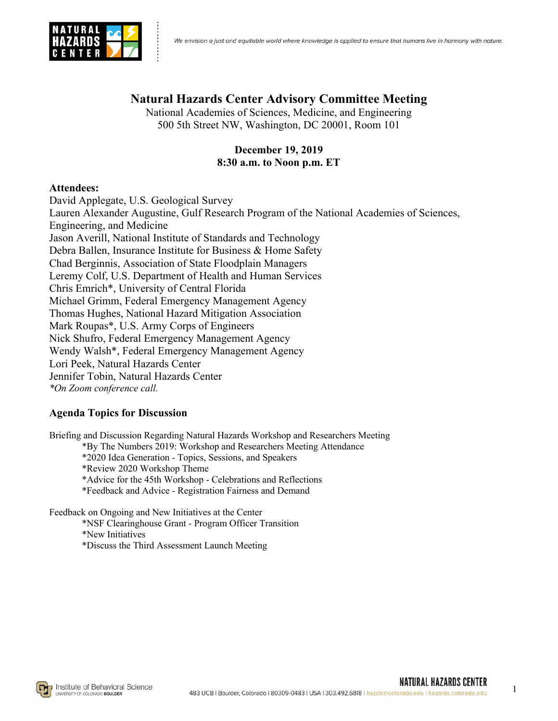

# **Natural Hazards Center Advisory Committee Meeting**

National Academies of Sciences, Medicine, and Engineering 500 5th Street NW, Washington, DC 20001, Room 101

# **December 19, 2019 8:30 a.m. to Noon p.m. ET**

### **Attendees:**

David Applegate, U.S. Geological Survey Lauren Alexander Augustine, Gulf Research Program of the National Academies of Sciences, Engineering, and Medicine Jason Averill, National Institute of Standards and Technology Debra Ballen, Insurance Institute for Business & Home Safety Chad Berginnis, Association of State Floodplain Managers Leremy Colf, U.S. Department of Health and Human Services Chris Emrich\*, University of Central Florida Michael Grimm, Federal Emergency Management Agency Thomas Hughes, National Hazard Mitigation Association Mark Roupas\*, U.S. Army Corps of Engineers Nick Shufro, Federal Emergency Management Agency Wendy Walsh\*, Federal Emergency Management Agency Lori Peek, Natural Hazards Center Jennifer Tobin, Natural Hazards Center *\*On Zoom conference call.* 

# **Agenda Topics for Discussion**

Briefing and Discussion Regarding Natural Hazards Workshop and Researchers Meeting

\*By The Numbers 2019: Workshop and Researchers Meeting Attendance

\*2020 Idea Generation - Topics, Sessions, and Speakers

\*Review 2020 Workshop Theme

\*Advice for the 45th Workshop - Celebrations and Reflections

\*Feedback and Advice - Registration Fairness and Demand

Feedback on Ongoing and New Initiatives at the Center

\*NSF Clearinghouse Grant - Program Officer Transition

\*New Initiatives

\*Discuss the Third Assessment Launch Meeting

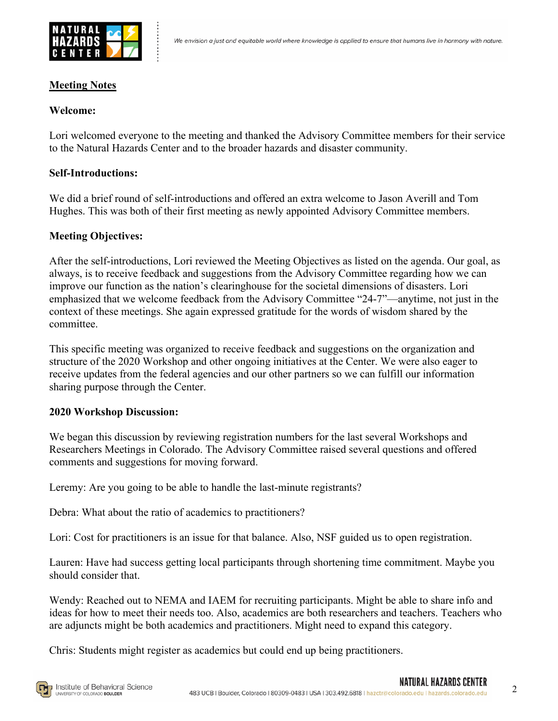

## **Meeting Notes**

## **Welcome:**

Lori welcomed everyone to the meeting and thanked the Advisory Committee members for their service to the Natural Hazards Center and to the broader hazards and disaster community.

# **Self-Introductions:**

We did a brief round of self-introductions and offered an extra welcome to Jason Averill and Tom Hughes. This was both of their first meeting as newly appointed Advisory Committee members.

# **Meeting Objectives:**

After the self-introductions, Lori reviewed the Meeting Objectives as listed on the agenda. Our goal, as always, is to receive feedback and suggestions from the Advisory Committee regarding how we can improve our function as the nation's clearinghouse for the societal dimensions of disasters. Lori emphasized that we welcome feedback from the Advisory Committee "24-7"—anytime, not just in the context of these meetings. She again expressed gratitude for the words of wisdom shared by the committee.

This specific meeting was organized to receive feedback and suggestions on the organization and structure of the 2020 Workshop and other ongoing initiatives at the Center. We were also eager to receive updates from the federal agencies and our other partners so we can fulfill our information sharing purpose through the Center.

### **2020 Workshop Discussion:**

We began this discussion by reviewing registration numbers for the last several Workshops and Researchers Meetings in Colorado. The Advisory Committee raised several questions and offered comments and suggestions for moving forward.

Leremy: Are you going to be able to handle the last-minute registrants?

Debra: What about the ratio of academics to practitioners?

Lori: Cost for practitioners is an issue for that balance. Also, NSF guided us to open registration.

Lauren: Have had success getting local participants through shortening time commitment. Maybe you should consider that.

Wendy: Reached out to NEMA and IAEM for recruiting participants. Might be able to share info and ideas for how to meet their needs too. Also, academics are both researchers and teachers. Teachers who are adjuncts might be both academics and practitioners. Might need to expand this category.

Chris: Students might register as academics but could end up being practitioners.

2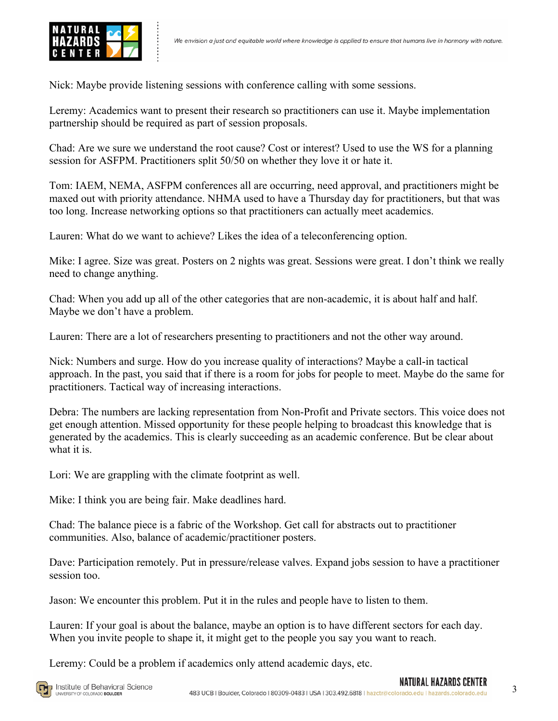

Nick: Maybe provide listening sessions with conference calling with some sessions.

Leremy: Academics want to present their research so practitioners can use it. Maybe implementation partnership should be required as part of session proposals.

Chad: Are we sure we understand the root cause? Cost or interest? Used to use the WS for a planning session for ASFPM. Practitioners split 50/50 on whether they love it or hate it.

Tom: IAEM, NEMA, ASFPM conferences all are occurring, need approval, and practitioners might be maxed out with priority attendance. NHMA used to have a Thursday day for practitioners, but that was too long. Increase networking options so that practitioners can actually meet academics.

Lauren: What do we want to achieve? Likes the idea of a teleconferencing option.

Mike: I agree. Size was great. Posters on 2 nights was great. Sessions were great. I don't think we really need to change anything.

Chad: When you add up all of the other categories that are non-academic, it is about half and half. Maybe we don't have a problem.

Lauren: There are a lot of researchers presenting to practitioners and not the other way around.

Nick: Numbers and surge. How do you increase quality of interactions? Maybe a call-in tactical approach. In the past, you said that if there is a room for jobs for people to meet. Maybe do the same for practitioners. Tactical way of increasing interactions.

Debra: The numbers are lacking representation from Non-Profit and Private sectors. This voice does not get enough attention. Missed opportunity for these people helping to broadcast this knowledge that is generated by the academics. This is clearly succeeding as an academic conference. But be clear about what it is.

Lori: We are grappling with the climate footprint as well.

Mike: I think you are being fair. Make deadlines hard.

Chad: The balance piece is a fabric of the Workshop. Get call for abstracts out to practitioner communities. Also, balance of academic/practitioner posters.

Dave: Participation remotely. Put in pressure/release valves. Expand jobs session to have a practitioner session too.

Jason: We encounter this problem. Put it in the rules and people have to listen to them.

Lauren: If your goal is about the balance, maybe an option is to have different sectors for each day. When you invite people to shape it, it might get to the people you say you want to reach.

Leremy: Could be a problem if academics only attend academic days, etc.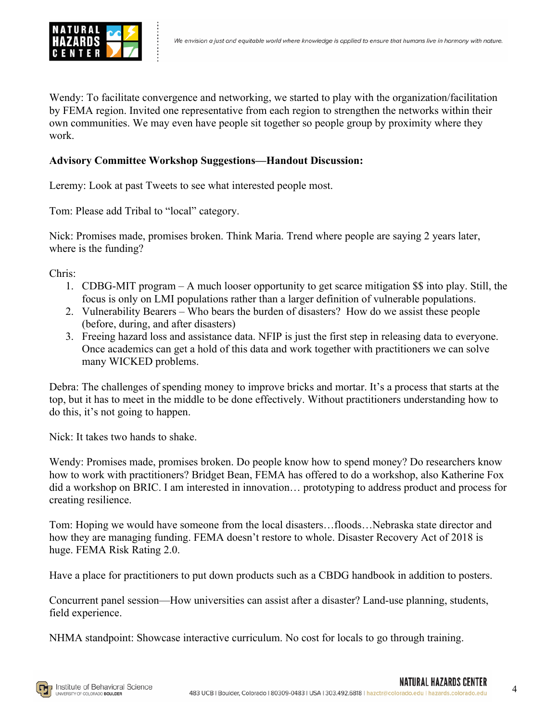

Wendy: To facilitate convergence and networking, we started to play with the organization/facilitation by FEMA region. Invited one representative from each region to strengthen the networks within their own communities. We may even have people sit together so people group by proximity where they work.

## **Advisory Committee Workshop Suggestions—Handout Discussion:**

Leremy: Look at past Tweets to see what interested people most.

Tom: Please add Tribal to "local" category.

Nick: Promises made, promises broken. Think Maria. Trend where people are saying 2 years later, where is the funding?

Chris:

- 1. CDBG-MIT program A much looser opportunity to get scarce mitigation \$\$ into play. Still, the focus is only on LMI populations rather than a larger definition of vulnerable populations.
- 2. Vulnerability Bearers Who bears the burden of disasters? How do we assist these people (before, during, and after disasters)
- 3. Freeing hazard loss and assistance data. NFIP is just the first step in releasing data to everyone. Once academics can get a hold of this data and work together with practitioners we can solve many WICKED problems.

Debra: The challenges of spending money to improve bricks and mortar. It's a process that starts at the top, but it has to meet in the middle to be done effectively. Without practitioners understanding how to do this, it's not going to happen.

Nick: It takes two hands to shake.

Wendy: Promises made, promises broken. Do people know how to spend money? Do researchers know how to work with practitioners? Bridget Bean, FEMA has offered to do a workshop, also Katherine Fox did a workshop on BRIC. I am interested in innovation… prototyping to address product and process for creating resilience.

Tom: Hoping we would have someone from the local disasters…floods…Nebraska state director and how they are managing funding. FEMA doesn't restore to whole. Disaster Recovery Act of 2018 is huge. FEMA Risk Rating 2.0.

Have a place for practitioners to put down products such as a CBDG handbook in addition to posters.

Concurrent panel session—How universities can assist after a disaster? Land-use planning, students, field experience.

NHMA standpoint: Showcase interactive curriculum. No cost for locals to go through training.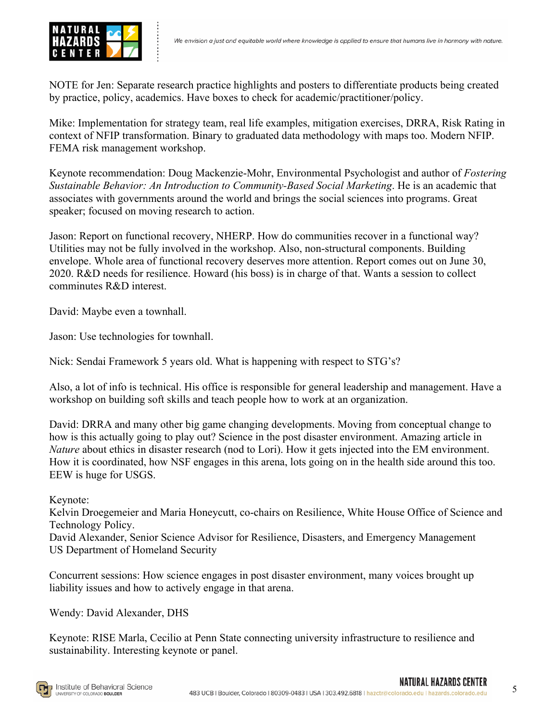

NOTE for Jen: Separate research practice highlights and posters to differentiate products being created by practice, policy, academics. Have boxes to check for academic/practitioner/policy.

Mike: Implementation for strategy team, real life examples, mitigation exercises, DRRA, Risk Rating in context of NFIP transformation. Binary to graduated data methodology with maps too. Modern NFIP. FEMA risk management workshop.

Keynote recommendation: Doug Mackenzie-Mohr, Environmental Psychologist and author of *Fostering Sustainable Behavior: An Introduction to Community-Based Social Marketing*. He is an academic that associates with governments around the world and brings the social sciences into programs. Great speaker; focused on moving research to action.

Jason: Report on functional recovery, NHERP. How do communities recover in a functional way? Utilities may not be fully involved in the workshop. Also, non-structural components. Building envelope. Whole area of functional recovery deserves more attention. Report comes out on June 30, 2020. R&D needs for resilience. Howard (his boss) is in charge of that. Wants a session to collect comminutes R&D interest.

David: Maybe even a townhall.

Jason: Use technologies for townhall.

Nick: Sendai Framework 5 years old. What is happening with respect to STG's?

Also, a lot of info is technical. His office is responsible for general leadership and management. Have a workshop on building soft skills and teach people how to work at an organization.

David: DRRA and many other big game changing developments. Moving from conceptual change to how is this actually going to play out? Science in the post disaster environment. Amazing article in *Nature* about ethics in disaster research (nod to Lori). How it gets injected into the EM environment. How it is coordinated, how NSF engages in this arena, lots going on in the health side around this too. EEW is huge for USGS.

Keynote:

Kelvin Droegemeier and Maria Honeycutt, co-chairs on Resilience, White House Office of Science and Technology Policy.

David Alexander, Senior Science Advisor for Resilience, Disasters, and Emergency Management US Department of Homeland Security

Concurrent sessions: How science engages in post disaster environment, many voices brought up liability issues and how to actively engage in that arena.

Wendy: David Alexander, DHS

Keynote: RISE Marla, Cecilio at Penn State connecting university infrastructure to resilience and sustainability. Interesting keynote or panel.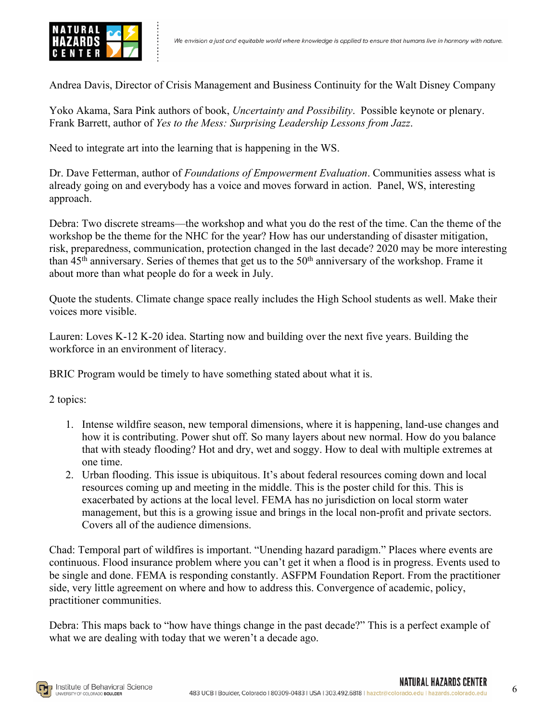Andrea Davis, Director of Crisis Management and Business Continuity for the Walt Disney Company

Yoko Akama, Sara Pink authors of book, *Uncertainty and Possibility*. Possible keynote or plenary. Frank Barrett, author of *Yes to the Mess: Surprising Leadership Lessons from Jazz*.

Need to integrate art into the learning that is happening in the WS.

Dr. Dave Fetterman, author of *Foundations of Empowerment Evaluation*. Communities assess what is already going on and everybody has a voice and moves forward in action. Panel, WS, interesting approach.

Debra: Two discrete streams—the workshop and what you do the rest of the time. Can the theme of the workshop be the theme for the NHC for the year? How has our understanding of disaster mitigation, risk, preparedness, communication, protection changed in the last decade? 2020 may be more interesting than 45<sup>th</sup> anniversary. Series of themes that get us to the 50<sup>th</sup> anniversary of the workshop. Frame it about more than what people do for a week in July.

Quote the students. Climate change space really includes the High School students as well. Make their voices more visible.

Lauren: Loves K-12 K-20 idea. Starting now and building over the next five years. Building the workforce in an environment of literacy.

BRIC Program would be timely to have something stated about what it is.

2 topics:

- 1. Intense wildfire season, new temporal dimensions, where it is happening, land-use changes and how it is contributing. Power shut off. So many layers about new normal. How do you balance that with steady flooding? Hot and dry, wet and soggy. How to deal with multiple extremes at one time.
- 2. Urban flooding. This issue is ubiquitous. It's about federal resources coming down and local resources coming up and meeting in the middle. This is the poster child for this. This is exacerbated by actions at the local level. FEMA has no jurisdiction on local storm water management, but this is a growing issue and brings in the local non-profit and private sectors. Covers all of the audience dimensions.

Chad: Temporal part of wildfires is important. "Unending hazard paradigm." Places where events are continuous. Flood insurance problem where you can't get it when a flood is in progress. Events used to be single and done. FEMA is responding constantly. ASFPM Foundation Report. From the practitioner side, very little agreement on where and how to address this. Convergence of academic, policy, practitioner communities.

Debra: This maps back to "how have things change in the past decade?" This is a perfect example of what we are dealing with today that we weren't a decade ago.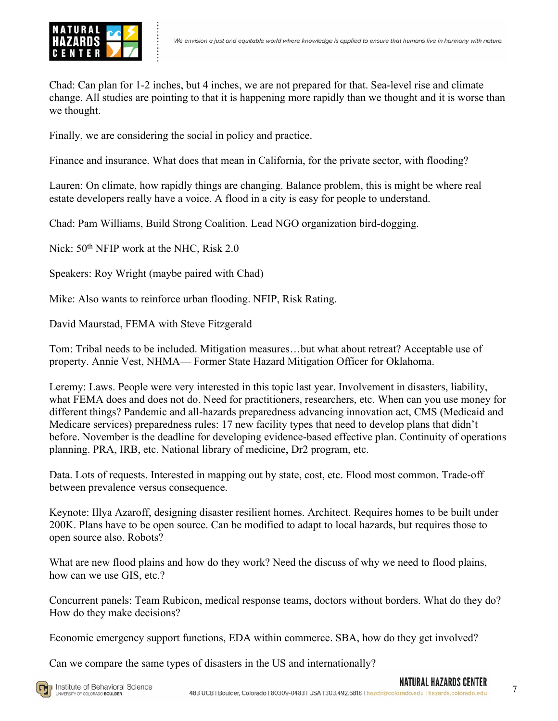

Chad: Can plan for 1-2 inches, but 4 inches, we are not prepared for that. Sea-level rise and climate change. All studies are pointing to that it is happening more rapidly than we thought and it is worse than we thought.

Finally, we are considering the social in policy and practice.

Finance and insurance. What does that mean in California, for the private sector, with flooding?

Lauren: On climate, how rapidly things are changing. Balance problem, this is might be where real estate developers really have a voice. A flood in a city is easy for people to understand.

Chad: Pam Williams, Build Strong Coalition. Lead NGO organization bird-dogging.

Nick:  $50<sup>th</sup>$  NFIP work at the NHC, Risk 2.0

Speakers: Roy Wright (maybe paired with Chad)

Mike: Also wants to reinforce urban flooding. NFIP, Risk Rating.

David Maurstad, FEMA with Steve Fitzgerald

Tom: Tribal needs to be included. Mitigation measures…but what about retreat? Acceptable use of property. Annie Vest, NHMA— Former State Hazard Mitigation Officer for Oklahoma.

Leremy: Laws. People were very interested in this topic last year. Involvement in disasters, liability, what FEMA does and does not do. Need for practitioners, researchers, etc. When can you use money for different things? Pandemic and all-hazards preparedness advancing innovation act, CMS (Medicaid and Medicare services) preparedness rules: 17 new facility types that need to develop plans that didn't before. November is the deadline for developing evidence-based effective plan. Continuity of operations planning. PRA, IRB, etc. National library of medicine, Dr2 program, etc.

Data. Lots of requests. Interested in mapping out by state, cost, etc. Flood most common. Trade-off between prevalence versus consequence.

Keynote: Illya Azaroff, designing disaster resilient homes. Architect. Requires homes to be built under 200K. Plans have to be open source. Can be modified to adapt to local hazards, but requires those to open source also. Robots?

What are new flood plains and how do they work? Need the discuss of why we need to flood plains, how can we use GIS, etc.?

Concurrent panels: Team Rubicon, medical response teams, doctors without borders. What do they do? How do they make decisions?

Economic emergency support functions, EDA within commerce. SBA, how do they get involved?

Can we compare the same types of disasters in the US and internationally?

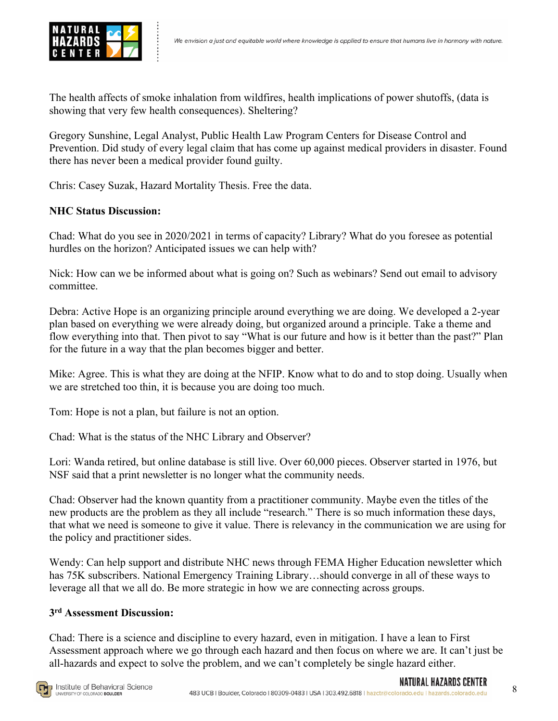

The health affects of smoke inhalation from wildfires, health implications of power shutoffs, (data is showing that very few health consequences). Sheltering?

Gregory Sunshine, Legal Analyst, Public Health Law Program Centers for Disease Control and Prevention. Did study of every legal claim that has come up against medical providers in disaster. Found there has never been a medical provider found guilty.

Chris: Casey Suzak, Hazard Mortality Thesis. Free the data.

# **NHC Status Discussion:**

Chad: What do you see in 2020/2021 in terms of capacity? Library? What do you foresee as potential hurdles on the horizon? Anticipated issues we can help with?

Nick: How can we be informed about what is going on? Such as webinars? Send out email to advisory committee.

Debra: Active Hope is an organizing principle around everything we are doing. We developed a 2-year plan based on everything we were already doing, but organized around a principle. Take a theme and flow everything into that. Then pivot to say "What is our future and how is it better than the past?" Plan for the future in a way that the plan becomes bigger and better.

Mike: Agree. This is what they are doing at the NFIP. Know what to do and to stop doing. Usually when we are stretched too thin, it is because you are doing too much.

Tom: Hope is not a plan, but failure is not an option.

Chad: What is the status of the NHC Library and Observer?

Lori: Wanda retired, but online database is still live. Over 60,000 pieces. Observer started in 1976, but NSF said that a print newsletter is no longer what the community needs.

Chad: Observer had the known quantity from a practitioner community. Maybe even the titles of the new products are the problem as they all include "research." There is so much information these days, that what we need is someone to give it value. There is relevancy in the communication we are using for the policy and practitioner sides.

Wendy: Can help support and distribute NHC news through FEMA Higher Education newsletter which has 75K subscribers. National Emergency Training Library…should converge in all of these ways to leverage all that we all do. Be more strategic in how we are connecting across groups.

### **3rd Assessment Discussion:**

Chad: There is a science and discipline to every hazard, even in mitigation. I have a lean to First Assessment approach where we go through each hazard and then focus on where we are. It can't just be all-hazards and expect to solve the problem, and we can't completely be single hazard either.

NATURAL HAZARDS CENTER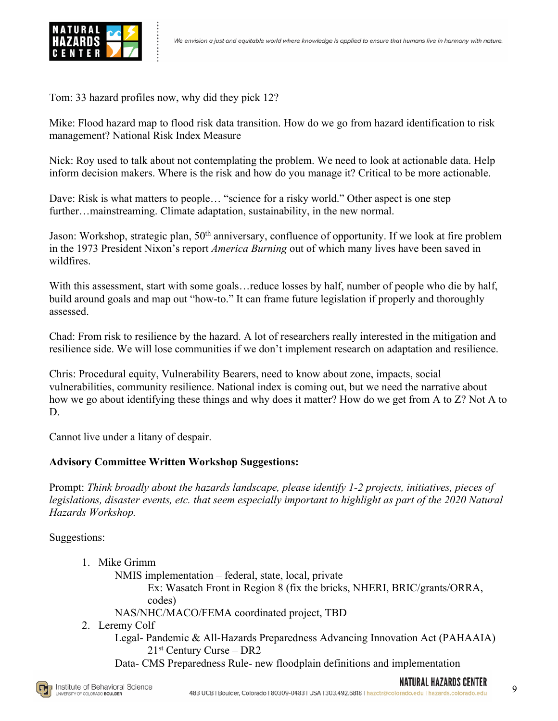

Tom: 33 hazard profiles now, why did they pick 12?

Mike: Flood hazard map to flood risk data transition. How do we go from hazard identification to risk management? National Risk Index Measure

Nick: Roy used to talk about not contemplating the problem. We need to look at actionable data. Help inform decision makers. Where is the risk and how do you manage it? Critical to be more actionable.

Dave: Risk is what matters to people… "science for a risky world." Other aspect is one step further…mainstreaming. Climate adaptation, sustainability, in the new normal.

Jason: Workshop, strategic plan, 50<sup>th</sup> anniversary, confluence of opportunity. If we look at fire problem in the 1973 President Nixon's report *America Burning* out of which many lives have been saved in wildfires.

With this assessment, start with some goals... reduce losses by half, number of people who die by half, build around goals and map out "how-to." It can frame future legislation if properly and thoroughly assessed.

Chad: From risk to resilience by the hazard. A lot of researchers really interested in the mitigation and resilience side. We will lose communities if we don't implement research on adaptation and resilience.

Chris: Procedural equity, Vulnerability Bearers, need to know about zone, impacts, social vulnerabilities, community resilience. National index is coming out, but we need the narrative about how we go about identifying these things and why does it matter? How do we get from A to Z? Not A to D.

Cannot live under a litany of despair.

# **Advisory Committee Written Workshop Suggestions:**

Prompt: *Think broadly about the hazards landscape, please identify 1-2 projects, initiatives, pieces of legislations, disaster events, etc. that seem especially important to highlight as part of the 2020 Natural Hazards Workshop.*

Suggestions:

1. Mike Grimm

NMIS implementation – federal, state, local, private

Ex: Wasatch Front in Region 8 (fix the bricks, NHERI, BRIC/grants/ORRA, codes)

NAS/NHC/MACO/FEMA coordinated project, TBD

2. Leremy Colf

Legal- Pandemic & All-Hazards Preparedness Advancing Innovation Act (PAHAAIA)  $21<sup>st</sup>$  Century Curse – DR2

Data- CMS Preparedness Rule- new floodplain definitions and implementation



9

NATURAL HAZARDS CENTER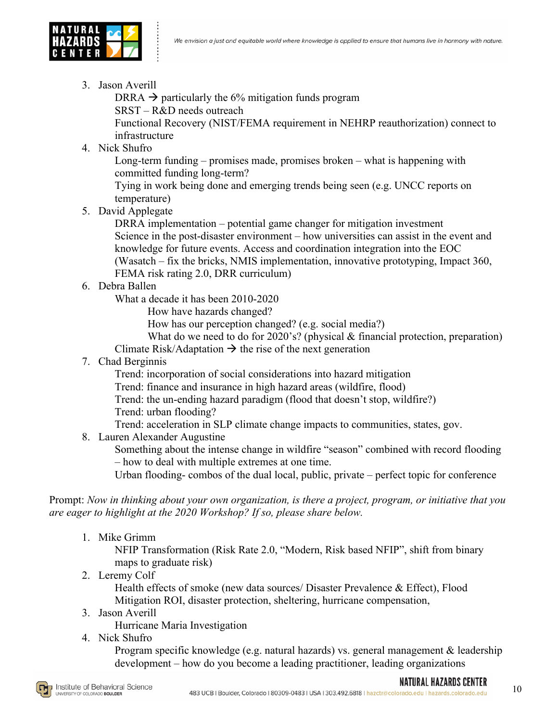

3. Jason Averill

DRRA  $\rightarrow$  particularly the 6% mitigation funds program

SRST – R&D needs outreach

Functional Recovery (NIST/FEMA requirement in NEHRP reauthorization) connect to infrastructure

4. Nick Shufro

Long-term funding – promises made, promises broken – what is happening with committed funding long-term?

Tying in work being done and emerging trends being seen (e.g. UNCC reports on temperature)

5. David Applegate

DRRA implementation – potential game changer for mitigation investment Science in the post-disaster environment – how universities can assist in the event and knowledge for future events. Access and coordination integration into the EOC (Wasatch – fix the bricks, NMIS implementation, innovative prototyping, Impact 360,

- FEMA risk rating 2.0, DRR curriculum)
- 6. Debra Ballen

What a decade it has been 2010-2020

How have hazards changed?

How has our perception changed? (e.g. social media?)

What do we need to do for 2020's? (physical & financial protection, preparation) Climate Risk/Adaptation  $\rightarrow$  the rise of the next generation

7. Chad Berginnis

Trend: incorporation of social considerations into hazard mitigation

Trend: finance and insurance in high hazard areas (wildfire, flood)

- Trend: the un-ending hazard paradigm (flood that doesn't stop, wildfire?)
- Trend: urban flooding?

Trend: acceleration in SLP climate change impacts to communities, states, gov.

8. Lauren Alexander Augustine

Something about the intense change in wildfire "season" combined with record flooding – how to deal with multiple extremes at one time.

Urban flooding- combos of the dual local, public, private – perfect topic for conference

Prompt: *Now in thinking about your own organization, is there a project, program, or initiative that you are eager to highlight at the 2020 Workshop? If so, please share below.*

1. Mike Grimm

NFIP Transformation (Risk Rate 2.0, "Modern, Risk based NFIP", shift from binary maps to graduate risk)

2. Leremy Colf

Health effects of smoke (new data sources/ Disaster Prevalence & Effect), Flood Mitigation ROI, disaster protection, sheltering, hurricane compensation,

3. Jason Averill

Hurricane Maria Investigation

4. Nick Shufro

Program specific knowledge (e.g. natural hazards) vs. general management & leadership development – how do you become a leading practitioner, leading organizations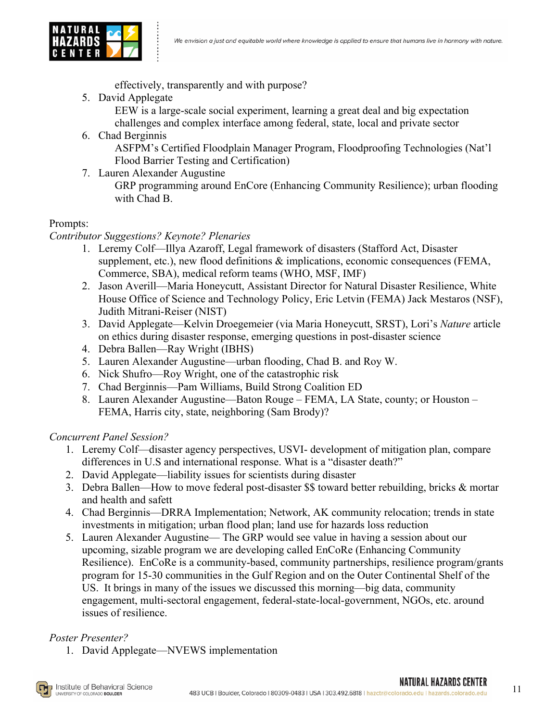

effectively, transparently and with purpose?

5. David Applegate

EEW is a large-scale social experiment, learning a great deal and big expectation challenges and complex interface among federal, state, local and private sector

- 6. Chad Berginnis ASFPM's Certified Floodplain Manager Program, Floodproofing Technologies (Nat'l Flood Barrier Testing and Certification)
- 7. Lauren Alexander Augustine

GRP programming around EnCore (Enhancing Community Resilience); urban flooding with Chad B.

# Prompts:

*Contributor Suggestions? Keynote? Plenaries*

- 1. Leremy Colf—Illya Azaroff, Legal framework of disasters (Stafford Act, Disaster supplement, etc.), new flood definitions  $\&$  implications, economic consequences (FEMA, Commerce, SBA), medical reform teams (WHO, MSF, IMF)
- 2. Jason Averill—Maria Honeycutt, Assistant Director for Natural Disaster Resilience, White House Office of Science and Technology Policy, Eric Letvin (FEMA) Jack Mestaros (NSF), Judith Mitrani-Reiser (NIST)
- 3. David Applegate—Kelvin Droegemeier (via Maria Honeycutt, SRST), Lori's *Nature* article on ethics during disaster response, emerging questions in post-disaster science
- 4. Debra Ballen—Ray Wright (IBHS)
- 5. Lauren Alexander Augustine—urban flooding, Chad B. and Roy W.
- 6. Nick Shufro—Roy Wright, one of the catastrophic risk
- 7. Chad Berginnis—Pam Williams, Build Strong Coalition ED
- 8. Lauren Alexander Augustine—Baton Rouge FEMA, LA State, county; or Houston FEMA, Harris city, state, neighboring (Sam Brody)?

# *Concurrent Panel Session?*

- 1. Leremy Colf—disaster agency perspectives, USVI- development of mitigation plan, compare differences in U.S and international response. What is a "disaster death?"
- 2. David Applegate—liability issues for scientists during disaster
- 3. Debra Ballen—How to move federal post-disaster \$\$ toward better rebuilding, bricks & mortar and health and safett
- 4. Chad Berginnis—DRRA Implementation; Network, AK community relocation; trends in state investments in mitigation; urban flood plan; land use for hazards loss reduction
- 5. Lauren Alexander Augustine— The GRP would see value in having a session about our upcoming, sizable program we are developing called EnCoRe (Enhancing Community Resilience). EnCoRe is a community-based, community partnerships, resilience program/grants program for 15-30 communities in the Gulf Region and on the Outer Continental Shelf of the US. It brings in many of the issues we discussed this morning—big data, community engagement, multi-sectoral engagement, federal-state-local-government, NGOs, etc. around issues of resilience.

# *Poster Presenter?*

1. David Applegate—NVEWS implementation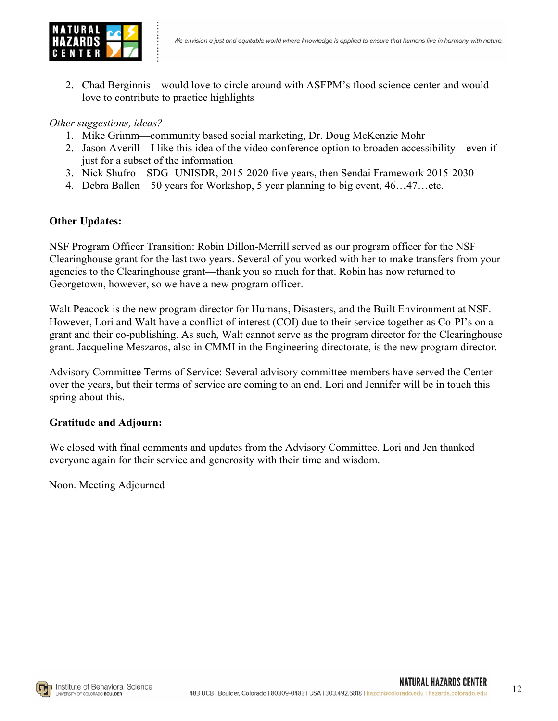

2. Chad Berginnis—would love to circle around with ASFPM's flood science center and would love to contribute to practice highlights

#### *Other suggestions, ideas?*

- 1. Mike Grimm—community based social marketing, Dr. Doug McKenzie Mohr
- 2. Jason Averill—I like this idea of the video conference option to broaden accessibility even if just for a subset of the information
- 3. Nick Shufro—SDG- UNISDR, 2015-2020 five years, then Sendai Framework 2015-2030
- 4. Debra Ballen—50 years for Workshop, 5 year planning to big event, 46…47…etc.

### **Other Updates:**

NSF Program Officer Transition: Robin Dillon-Merrill served as our program officer for the NSF Clearinghouse grant for the last two years. Several of you worked with her to make transfers from your agencies to the Clearinghouse grant—thank you so much for that. Robin has now returned to Georgetown, however, so we have a new program officer.

Walt Peacock is the new program director for Humans, Disasters, and the Built Environment at NSF. However, Lori and Walt have a conflict of interest (COI) due to their service together as Co-PI's on a grant and their co-publishing. As such, Walt cannot serve as the program director for the Clearinghouse grant. Jacqueline Meszaros, also in CMMI in the Engineering directorate, is the new program director.

Advisory Committee Terms of Service: Several advisory committee members have served the Center over the years, but their terms of service are coming to an end. Lori and Jennifer will be in touch this spring about this.

### **Gratitude and Adjourn:**

We closed with final comments and updates from the Advisory Committee. Lori and Jen thanked everyone again for their service and generosity with their time and wisdom.

Noon. Meeting Adjourned